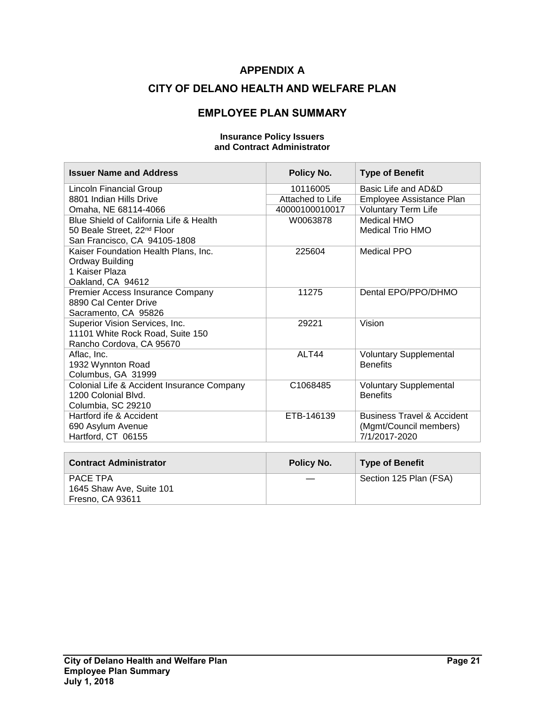## **APPENDIX A**

### **CITY OF DELANO HEALTH AND WELFARE PLAN**

### **EMPLOYEE PLAN SUMMARY**

**Insurance Policy Issuers and Contract Administrator**

#### **Issuer Name and Address Policy No. Type of Benefit** Lincoln Financial Group 8801 Indian Hills Drive Omaha, NE 68114-4066 10116005 Basic Life and AD&D Attached to Life Employee Assistance Plan 40000100010017 Voluntary Term Life Blue Shield of California Life & Health 50 Beale Street, 22<sup>nd</sup> Floor San Francisco, CA 94105-1808 W0063878 Medical HMO Medical Trio HMO Kaiser Foundation Health Plans, Inc. Ordway Building 1 Kaiser Plaza Oakland, CA 94612 225604 Medical PPO Premier Access Insurance Company 8890 Cal Center Drive Sacramento, CA 95826 11275 Dental EPO/PPO/DHMO Superior Vision Services, Inc. 11101 White Rock Road, Suite 150 Rancho Cordova, CA 95670 29221 Vision Aflac, Inc. 1932 Wynnton Road Columbus, GA 31999 ALT44 Voluntary Supplemental **Benefits** Colonial Life & Accident Insurance Company 1200 Colonial Blvd. Columbia, SC 29210 C1068485 Voluntary Supplemental **Benefits** Hartford ife & Accident 690 Asylum Avenue Hartford, CT 06155 ETB-146139 Business Travel & Accident (Mgmt/Council members) 7/1/2017-2020

| <b>Contract Administrator</b> | Policy No. | <b>Type of Benefit</b> |
|-------------------------------|------------|------------------------|
| PACE TPA                      |            | Section 125 Plan (FSA) |
| 1645 Shaw Ave, Suite 101      |            |                        |
| Fresno, CA 93611              |            |                        |

#### **City of Delano Health and Welfare Plan Page 21 Employee Plan Summary July 1, 2018**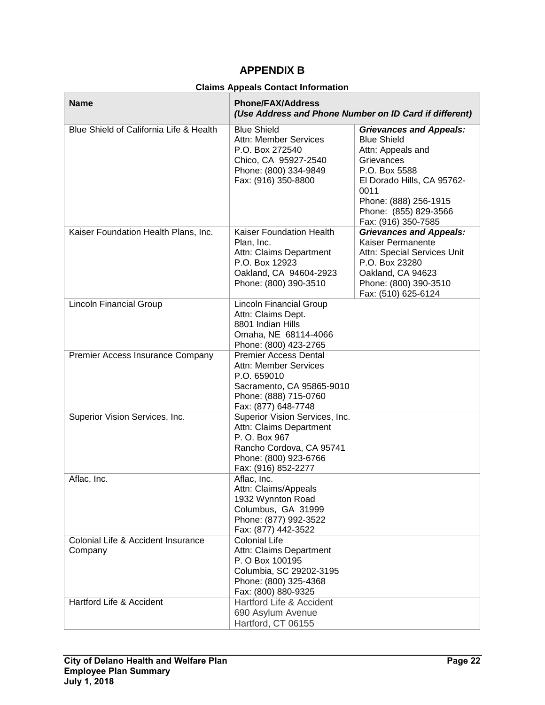# **APPENDIX B**

#### **Claims Appeals Contact Information**

| <b>Name</b>                                   | <b>Phone/FAX/Address</b><br>(Use Address and Phone Number on ID Card if different)                                                                       |                                                                                                                                                                                                                         |  |
|-----------------------------------------------|----------------------------------------------------------------------------------------------------------------------------------------------------------|-------------------------------------------------------------------------------------------------------------------------------------------------------------------------------------------------------------------------|--|
| Blue Shield of California Life & Health       | <b>Blue Shield</b><br><b>Attn: Member Services</b><br>P.O. Box 272540<br>Chico, CA 95927-2540<br>Phone: (800) 334-9849<br>Fax: (916) 350-8800            | <b>Grievances and Appeals:</b><br><b>Blue Shield</b><br>Attn: Appeals and<br>Grievances<br>P.O. Box 5588<br>El Dorado Hills, CA 95762-<br>0011<br>Phone: (888) 256-1915<br>Phone: (855) 829-3566<br>Fax: (916) 350-7585 |  |
| Kaiser Foundation Health Plans, Inc.          | Kaiser Foundation Health<br>Plan, Inc.<br>Attn: Claims Department<br>P.O. Box 12923<br>Oakland, CA 94604-2923<br>Phone: (800) 390-3510                   | <b>Grievances and Appeals:</b><br>Kaiser Permanente<br>Attn: Special Services Unit<br>P.O. Box 23280<br>Oakland, CA 94623<br>Phone: (800) 390-3510<br>Fax: (510) 625-6124                                               |  |
| <b>Lincoln Financial Group</b>                | <b>Lincoln Financial Group</b><br>Attn: Claims Dept.<br>8801 Indian Hills<br>Omaha, NE 68114-4066<br>Phone: (800) 423-2765                               |                                                                                                                                                                                                                         |  |
| Premier Access Insurance Company              | <b>Premier Access Dental</b><br><b>Attn: Member Services</b><br>P.O. 659010<br>Sacramento, CA 95865-9010<br>Phone: (888) 715-0760<br>Fax: (877) 648-7748 |                                                                                                                                                                                                                         |  |
| Superior Vision Services, Inc.                | Superior Vision Services, Inc.<br>Attn: Claims Department<br>P. O. Box 967<br>Rancho Cordova, CA 95741<br>Phone: (800) 923-6766<br>Fax: (916) 852-2277   |                                                                                                                                                                                                                         |  |
| Aflac, Inc.                                   | Aflac, Inc.<br>Attn: Claims/Appeals<br>1932 Wynnton Road<br>Columbus, GA 31999<br>Phone: (877) 992-3522<br>Fax: (877) 442-3522                           |                                                                                                                                                                                                                         |  |
| Colonial Life & Accident Insurance<br>Company | <b>Colonial Life</b><br>Attn: Claims Department<br>P. O Box 100195<br>Columbia, SC 29202-3195<br>Phone: (800) 325-4368<br>Fax: (800) 880-9325            |                                                                                                                                                                                                                         |  |
| <b>Hartford Life &amp; Accident</b>           | Hartford Life & Accident<br>690 Asylum Avenue<br>Hartford, CT 06155                                                                                      |                                                                                                                                                                                                                         |  |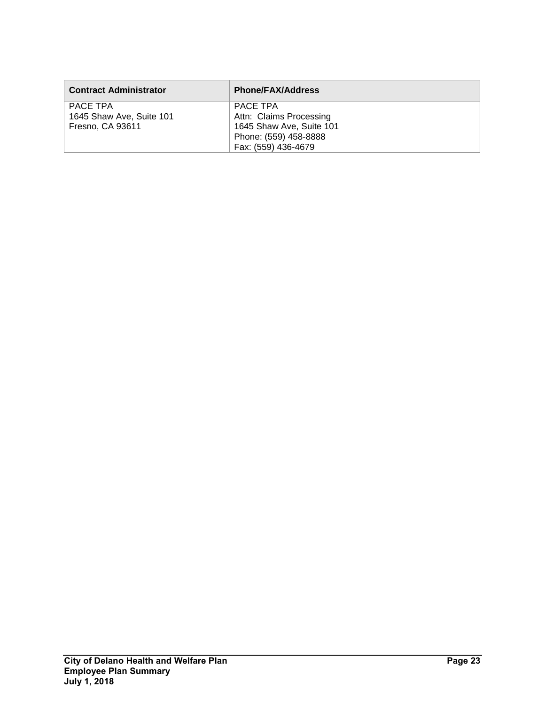| <b>Contract Administrator</b> | <b>Phone/FAX/Address</b> |
|-------------------------------|--------------------------|
| PACE TPA                      | PACE TPA                 |
| 1645 Shaw Ave, Suite 101      | Attn: Claims Processing  |
| Fresno, CA 93611              | 1645 Shaw Ave, Suite 101 |
|                               | Phone: (559) 458-8888    |
|                               | Fax: (559) 436-4679      |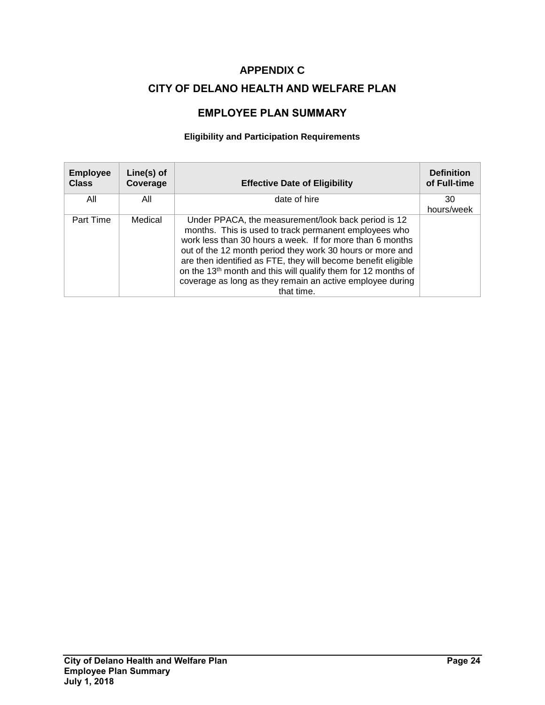# **APPENDIX C**

# **CITY OF DELANO HEALTH AND WELFARE PLAN**

# **EMPLOYEE PLAN SUMMARY**

### **Eligibility and Participation Requirements**

| <b>Employee</b><br><b>Class</b> | Line(s) of<br>Coverage | <b>Effective Date of Eligibility</b>                                                                                                                                                                                                                                                                                                                                                                                                                            | <b>Definition</b><br>of Full-time |
|---------------------------------|------------------------|-----------------------------------------------------------------------------------------------------------------------------------------------------------------------------------------------------------------------------------------------------------------------------------------------------------------------------------------------------------------------------------------------------------------------------------------------------------------|-----------------------------------|
| All                             | All                    | date of hire                                                                                                                                                                                                                                                                                                                                                                                                                                                    | 30<br>hours/week                  |
| Part Time                       | Medical                | Under PPACA, the measurement/look back period is 12<br>months. This is used to track permanent employees who<br>work less than 30 hours a week. If for more than 6 months<br>out of the 12 month period they work 30 hours or more and<br>are then identified as FTE, they will become benefit eligible<br>on the 13 <sup>th</sup> month and this will qualify them for 12 months of<br>coverage as long as they remain an active employee during<br>that time. |                                   |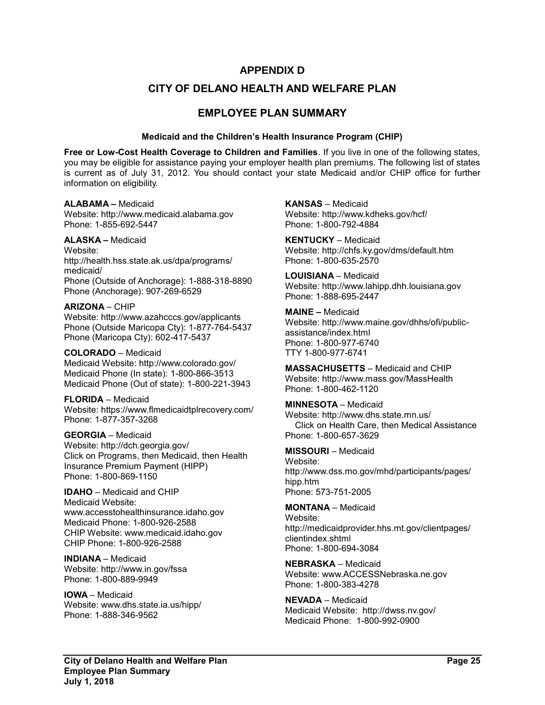### **APPENDIX D**

### **CITY OF DELANO HEALTH AND WELFARE PLAN**

### **EMPLOYEE PLAN SUMMARY**

#### **Medicaid and the Children's Health Insurance Program (CHIP)**

**Free or Low-Cost Health Coverage to Children and Families**. If you live in one of the following states, you may be eligible for assistance paying your employer health plan premiums. The following list of states is current as of July 31, 2012. You should contact your state Medicaid and/or CHIP office for further information on eligibility.

#### **ALABAMA –** Medicaid

Website: http://www.medicaid.alabama.gov Phone: 1-855-692-5447

### **ALASKA –** Medicaid

Website: http://health.hss.state.ak.us/dpa/programs/ medicaid/ Phone (Outside of Anchorage): 1-888-318-8890 Phone (Anchorage): 907-269-6529

#### **ARIZONA** – CHIP

Website: http://www.azahcccs.gov/applicants Phone (Outside Maricopa Cty): 1-877-764-5437 Phone (Maricopa Cty): 602-417-5437

#### **COLORADO** – Medicaid

Medicaid Website: http://www.colorado.gov/ Medicaid Phone (In state): 1-800-866-3513 Medicaid Phone (Out of state): 1-800-221-3943

#### **FLORIDA** – Medicaid Website: https://www.flmedicaidtplrecovery.com/ Phone: 1-877-357-3268

**GEORGIA** – Medicaid Website: http://dch.georgia.gov/ Click on Programs, then Medicaid, then Health Insurance Premium Payment (HIPP) Phone: 1-800-869-1150

# **IDAHO** – Medicaid and CHIP

Medicaid Website: www.accesstohealthinsurance.idaho.gov Medicaid Phone: 1-800-926-2588 CHIP Website: www.medicaid.idaho.gov CHIP Phone: 1-800-926-2588

#### **INDIANA** – Medicaid Website: http://www.in.gov/fssa Phone: 1-800-889-9949

**IOWA** – Medicaid Website: www.dhs.state.ia.us/hipp/ Phone: 1-888-346-9562

**KANSAS** – Medicaid Website: http://www.kdheks.gov/hcf/ Phone: 1-800-792-4884

**KENTUCKY** – Medicaid Website: http://chfs.ky.gov/dms/default.htm Phone: 1-800-635-2570

**LOUISIANA** – Medicaid Website: http://www.lahipp.dhh.louisiana.gov Phone: 1-888-695-2447

#### **MAINE –** Medicaid

Website: http://www.maine.gov/dhhs/ofi/publicassistance/index.html Phone: 1-800-977-6740 TTY 1-800-977-6741

**MASSACHUSETTS** – Medicaid and CHIP Website: http://www.mass.gov/MassHealth Phone: 1-800-462-1120

#### **MINNESOTA** – Medicaid Website: http://www.dhs.state.mn.us/ Click on Health Care, then Medical Assistance Phone: 1-800-657-3629

#### **MISSOURI** – Medicaid Website:

http://www.dss.mo.gov/mhd/participants/pages/ hipp.htm Phone: 573-751-2005

#### **MONTANA** – Medicaid

Website: http://medicaidprovider.hhs.mt.gov/clientpages/ clientindex.shtml Phone: 1-800-694-3084

#### **NEBRASKA** – Medicaid Website: www.ACCESSNebraska.ne.gov Phone: 1-800-383-4278

**NEVADA** – Medicaid Medicaid Website: http://dwss.nv.gov/ Medicaid Phone: 1-800-992-0900